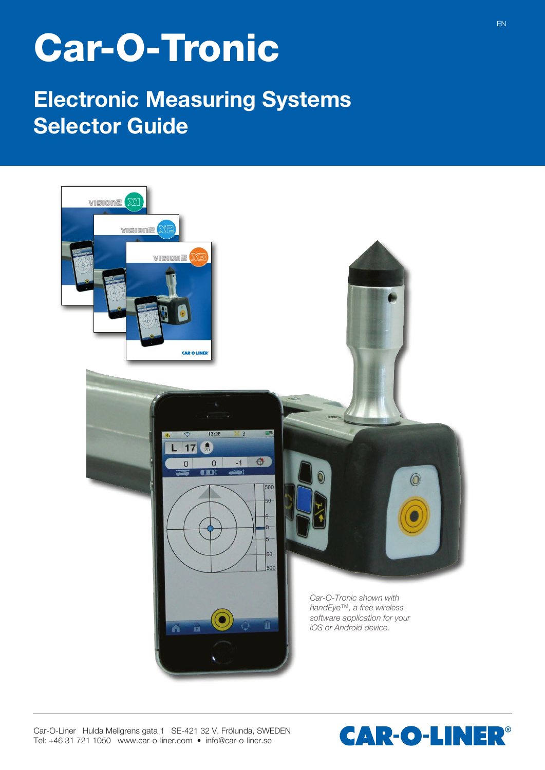## **Car-O-Tronic**

## **Electronic Measuring Systems Selector Guide**